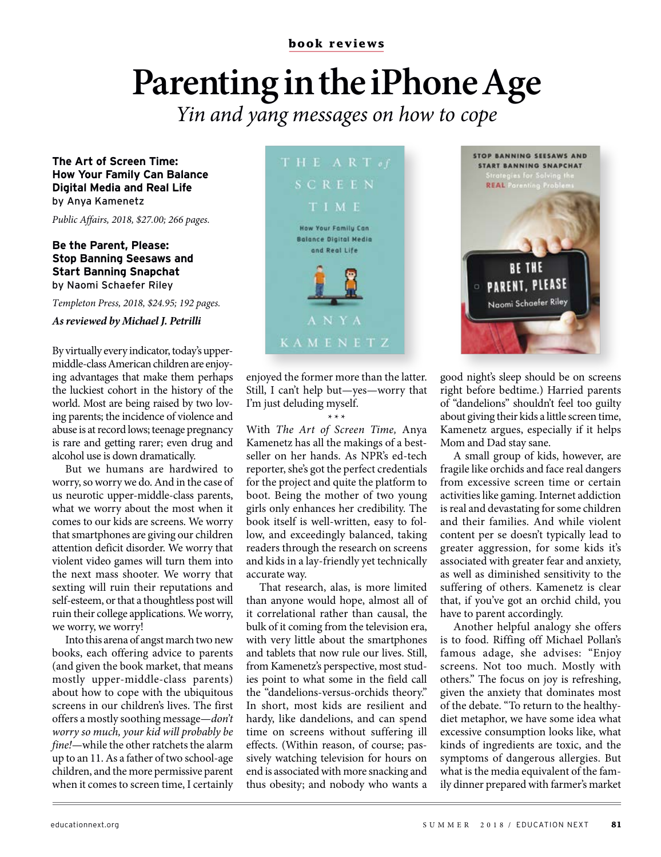**book reviews**

# **Parenting in the iPhone Age**

Yin and yang messages on how to cope

**The Art of Screen Time: How Your Family Can Balance Digital Media and Real Life** by Anya Kamenetz

Public Affairs, 2018, \$27.00; 266 pages.

### **Be the Parent, Please: Stop Banning Seesaws and Start Banning Snapchat** by Naomi Schaefer Riley

Templeton Press, 2018, \$24.95; 192 pages.

### **As reviewed by Michael J. Petrilli**

By virtually every indicator, today's uppermiddle-class American children are enjoying advantages that make them perhaps the luckiest cohort in the history of the world. Most are being raised by two loving parents; the incidence of violence and abuse is at record lows; teenage pregnancy is rare and getting rarer; even drug and alcohol use is down dramatically.

But we humans are hardwired to worry, so worry we do. And in the case of us neurotic upper-middle-class parents, what we worry about the most when it comes to our kids are screens. We worry that smartphones are giving our children attention deficit disorder. We worry that violent video games will turn them into the next mass shooter. We worry that sexting will ruin their reputations and self-esteem, or that a thoughtless post will ruin their college applications. We worry, we worry, we worry!

Into this arena of angst march two new books, each offering advice to parents (and given the book market, that means mostly upper-middle-class parents) about how to cope with the ubiquitous screens in our children's lives. The first offers a mostly soothing message—don't worry so much, your kid will probably be fine!—while the other ratchets the alarm up to an 11. As a father of two school-age children, and the more permissive parent when it comes to screen time, I certainly



enjoyed the former more than the latter. Still, I can't help but—yes—worry that I'm just deluding myself.

\*\*\* With The Art of Screen Time, Anya Kamenetz has all the makings of a bestseller on her hands. As NPR's ed-tech reporter, she's got the perfect credentials for the project and quite the platform to boot. Being the mother of two young girls only enhances her credibility. The book itself is well-written, easy to follow, and exceedingly balanced, taking readers through the research on screens and kids in a lay-friendly yet technically accurate way.

That research, alas, is more limited than anyone would hope, almost all of it correlational rather than causal, the bulk of it coming from the television era, with very little about the smartphones and tablets that now rule our lives. Still, from Kamenetz's perspective, most studies point to what some in the field call the "dandelions-versus-orchids theory." In short, most kids are resilient and hardy, like dandelions, and can spend time on screens without suffering ill effects. (Within reason, of course; passively watching television for hours on end is associated with more snacking and thus obesity; and nobody who wants a



good night's sleep should be on screens right before bedtime.) Harried parents of "dandelions" shouldn't feel too guilty about giving their kids a little screen time, Kamenetz argues, especially if it helps Mom and Dad stay sane.

A small group of kids, however, are fragile like orchids and face real dangers from excessive screen time or certain activities like gaming. Internet addiction is real and devastating for some children and their families. And while violent content per se doesn't typically lead to greater aggression, for some kids it's associated with greater fear and anxiety, as well as diminished sensitivity to the suffering of others. Kamenetz is clear that, if you've got an orchid child, you have to parent accordingly.

Another helpful analogy she offers is to food. Riffing off Michael Pollan's famous adage, she advises: "Enjoy screens. Not too much. Mostly with others." The focus on joy is refreshing, given the anxiety that dominates most of the debate. "To return to the healthydiet metaphor, we have some idea what excessive consumption looks like, what kinds of ingredients are toxic, and the symptoms of dangerous allergies. But what is the media equivalent of the family dinner prepared with farmer's market